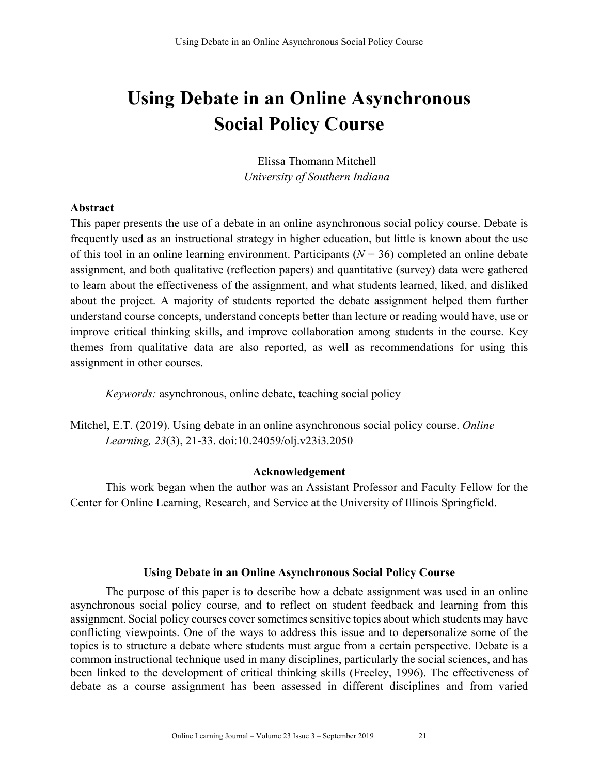# **Using Debate in an Online Asynchronous Social Policy Course**

Elissa Thomann Mitchell *University of Southern Indiana*

## **Abstract**

This paper presents the use of a debate in an online asynchronous social policy course. Debate is frequently used as an instructional strategy in higher education, but little is known about the use of this tool in an online learning environment. Participants (*N* = 36) completed an online debate assignment, and both qualitative (reflection papers) and quantitative (survey) data were gathered to learn about the effectiveness of the assignment, and what students learned, liked, and disliked about the project. A majority of students reported the debate assignment helped them further understand course concepts, understand concepts better than lecture or reading would have, use or improve critical thinking skills, and improve collaboration among students in the course. Key themes from qualitative data are also reported, as well as recommendations for using this assignment in other courses.

*Keywords:* asynchronous, online debate, teaching social policy

Mitchel, E.T. (2019). Using debate in an online asynchronous social policy course. *Online Learning, 23*(3), 21-33. doi:10.24059/olj.v23i3.2050

#### **Acknowledgement**

This work began when the author was an Assistant Professor and Faculty Fellow for the Center for Online Learning, Research, and Service at the University of Illinois Springfield.

## **Using Debate in an Online Asynchronous Social Policy Course**

The purpose of this paper is to describe how a debate assignment was used in an online asynchronous social policy course, and to reflect on student feedback and learning from this assignment. Social policy courses cover sometimes sensitive topics about which students may have conflicting viewpoints. One of the ways to address this issue and to depersonalize some of the topics is to structure a debate where students must argue from a certain perspective. Debate is a common instructional technique used in many disciplines, particularly the social sciences, and has been linked to the development of critical thinking skills (Freeley, 1996). The effectiveness of debate as a course assignment has been assessed in different disciplines and from varied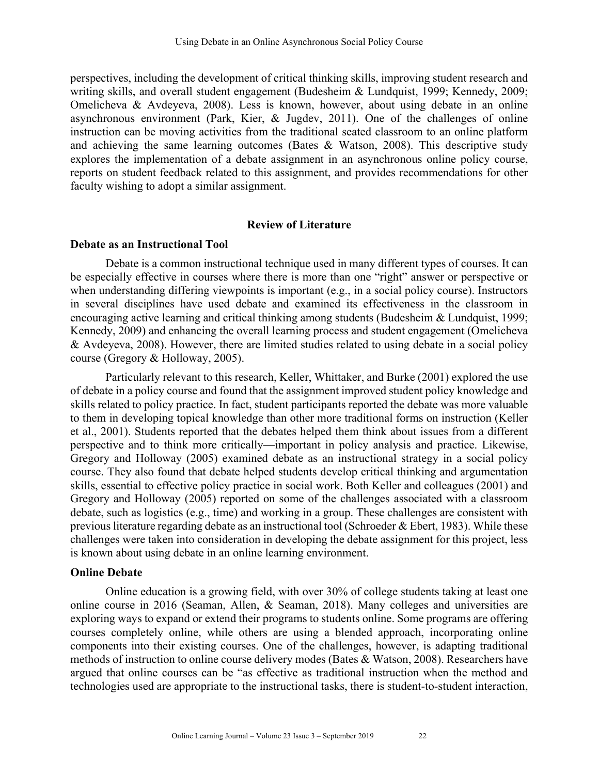perspectives, including the development of critical thinking skills, improving student research and writing skills, and overall student engagement (Budesheim & Lundquist, 1999; Kennedy, 2009; Omelicheva & Avdeyeva, 2008). Less is known, however, about using debate in an online asynchronous environment (Park, Kier, & Jugdev, 2011). One of the challenges of online instruction can be moving activities from the traditional seated classroom to an online platform and achieving the same learning outcomes (Bates & Watson, 2008). This descriptive study explores the implementation of a debate assignment in an asynchronous online policy course, reports on student feedback related to this assignment, and provides recommendations for other faculty wishing to adopt a similar assignment.

#### **Review of Literature**

#### **Debate as an Instructional Tool**

Debate is a common instructional technique used in many different types of courses. It can be especially effective in courses where there is more than one "right" answer or perspective or when understanding differing viewpoints is important (e.g., in a social policy course). Instructors in several disciplines have used debate and examined its effectiveness in the classroom in encouraging active learning and critical thinking among students (Budesheim & Lundquist, 1999; Kennedy, 2009) and enhancing the overall learning process and student engagement (Omelicheva & Avdeyeva, 2008). However, there are limited studies related to using debate in a social policy course (Gregory & Holloway, 2005).

Particularly relevant to this research, Keller, Whittaker, and Burke (2001) explored the use of debate in a policy course and found that the assignment improved student policy knowledge and skills related to policy practice. In fact, student participants reported the debate was more valuable to them in developing topical knowledge than other more traditional forms on instruction (Keller et al., 2001). Students reported that the debates helped them think about issues from a different perspective and to think more critically—important in policy analysis and practice. Likewise, Gregory and Holloway (2005) examined debate as an instructional strategy in a social policy course. They also found that debate helped students develop critical thinking and argumentation skills, essential to effective policy practice in social work. Both Keller and colleagues (2001) and Gregory and Holloway (2005) reported on some of the challenges associated with a classroom debate, such as logistics (e.g., time) and working in a group. These challenges are consistent with previous literature regarding debate as an instructional tool (Schroeder & Ebert, 1983). While these challenges were taken into consideration in developing the debate assignment for this project, less is known about using debate in an online learning environment.

#### **Online Debate**

Online education is a growing field, with over 30% of college students taking at least one online course in 2016 (Seaman, Allen, & Seaman, 2018). Many colleges and universities are exploring ways to expand or extend their programs to students online. Some programs are offering courses completely online, while others are using a blended approach, incorporating online components into their existing courses. One of the challenges, however, is adapting traditional methods of instruction to online course delivery modes (Bates & Watson, 2008). Researchers have argued that online courses can be "as effective as traditional instruction when the method and technologies used are appropriate to the instructional tasks, there is student-to-student interaction,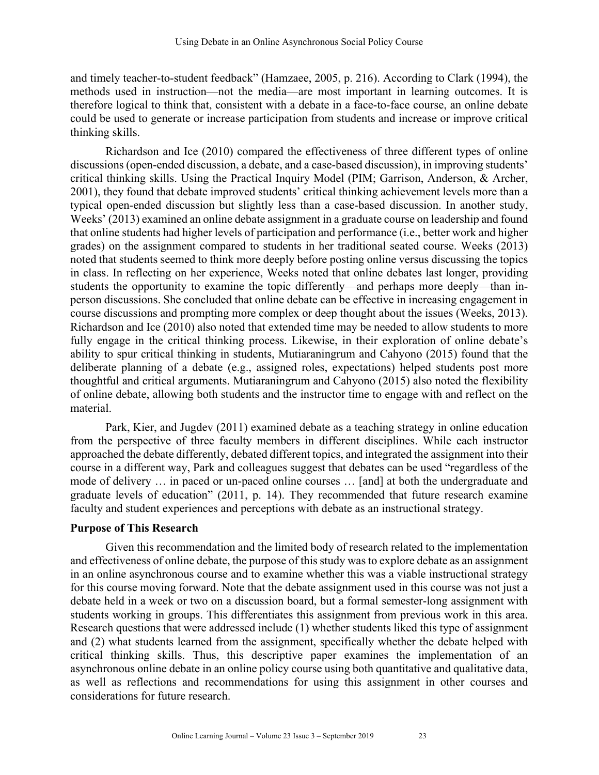and timely teacher-to-student feedback" (Hamzaee, 2005, p. 216). According to Clark (1994), the methods used in instruction—not the media—are most important in learning outcomes. It is therefore logical to think that, consistent with a debate in a face-to-face course, an online debate could be used to generate or increase participation from students and increase or improve critical thinking skills.

Richardson and Ice (2010) compared the effectiveness of three different types of online discussions (open-ended discussion, a debate, and a case-based discussion), in improving students' critical thinking skills. Using the Practical Inquiry Model (PIM; Garrison, Anderson, & Archer, 2001), they found that debate improved students' critical thinking achievement levels more than a typical open-ended discussion but slightly less than a case-based discussion. In another study, Weeks' (2013) examined an online debate assignment in a graduate course on leadership and found that online students had higher levels of participation and performance (i.e., better work and higher grades) on the assignment compared to students in her traditional seated course. Weeks (2013) noted that students seemed to think more deeply before posting online versus discussing the topics in class. In reflecting on her experience, Weeks noted that online debates last longer, providing students the opportunity to examine the topic differently—and perhaps more deeply—than inperson discussions. She concluded that online debate can be effective in increasing engagement in course discussions and prompting more complex or deep thought about the issues (Weeks, 2013). Richardson and Ice (2010) also noted that extended time may be needed to allow students to more fully engage in the critical thinking process. Likewise, in their exploration of online debate's ability to spur critical thinking in students, Mutiaraningrum and Cahyono (2015) found that the deliberate planning of a debate (e.g., assigned roles, expectations) helped students post more thoughtful and critical arguments. Mutiaraningrum and Cahyono (2015) also noted the flexibility of online debate, allowing both students and the instructor time to engage with and reflect on the material.

Park, Kier, and Jugdev (2011) examined debate as a teaching strategy in online education from the perspective of three faculty members in different disciplines. While each instructor approached the debate differently, debated different topics, and integrated the assignment into their course in a different way, Park and colleagues suggest that debates can be used "regardless of the mode of delivery … in paced or un-paced online courses … [and] at both the undergraduate and graduate levels of education" (2011, p. 14). They recommended that future research examine faculty and student experiences and perceptions with debate as an instructional strategy.

## **Purpose of This Research**

Given this recommendation and the limited body of research related to the implementation and effectiveness of online debate, the purpose of this study was to explore debate as an assignment in an online asynchronous course and to examine whether this was a viable instructional strategy for this course moving forward. Note that the debate assignment used in this course was not just a debate held in a week or two on a discussion board, but a formal semester-long assignment with students working in groups. This differentiates this assignment from previous work in this area. Research questions that were addressed include (1) whether students liked this type of assignment and (2) what students learned from the assignment, specifically whether the debate helped with critical thinking skills. Thus, this descriptive paper examines the implementation of an asynchronous online debate in an online policy course using both quantitative and qualitative data, as well as reflections and recommendations for using this assignment in other courses and considerations for future research.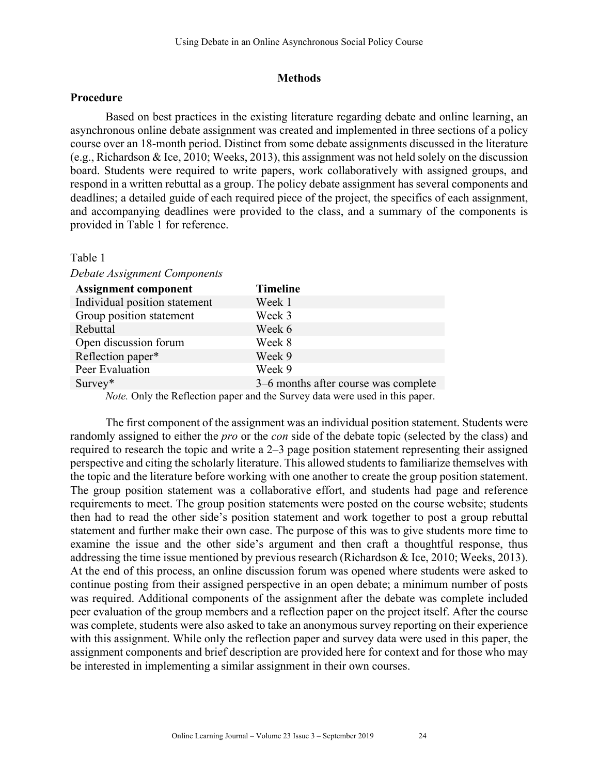## **Methods**

#### **Procedure**

Based on best practices in the existing literature regarding debate and online learning, an asynchronous online debate assignment was created and implemented in three sections of a policy course over an 18-month period. Distinct from some debate assignments discussed in the literature (e.g., Richardson & Ice, 2010; Weeks, 2013), this assignment was not held solely on the discussion board. Students were required to write papers, work collaboratively with assigned groups, and respond in a written rebuttal as a group. The policy debate assignment has several components and deadlines; a detailed guide of each required piece of the project, the specifics of each assignment, and accompanying deadlines were provided to the class, and a summary of the components is provided in Table 1 for reference.

#### Table 1

#### *Debate Assignment Components*

| <b>Assignment component</b>   | <b>Timeline</b>                      |
|-------------------------------|--------------------------------------|
| Individual position statement | Week 1                               |
| Group position statement      | Week 3                               |
| Rebuttal                      | Week 6                               |
| Open discussion forum         | Week 8                               |
| Reflection paper*             | Week 9                               |
| Peer Evaluation               | Week 9                               |
| $Survey*$                     | 3–6 months after course was complete |

*Note.* Only the Reflection paper and the Survey data were used in this paper.

The first component of the assignment was an individual position statement. Students were randomly assigned to either the *pro* or the *con* side of the debate topic (selected by the class) and required to research the topic and write a 2–3 page position statement representing their assigned perspective and citing the scholarly literature. This allowed students to familiarize themselves with the topic and the literature before working with one another to create the group position statement. The group position statement was a collaborative effort, and students had page and reference requirements to meet. The group position statements were posted on the course website; students then had to read the other side's position statement and work together to post a group rebuttal statement and further make their own case. The purpose of this was to give students more time to examine the issue and the other side's argument and then craft a thoughtful response, thus addressing the time issue mentioned by previous research (Richardson & Ice, 2010; Weeks, 2013). At the end of this process, an online discussion forum was opened where students were asked to continue posting from their assigned perspective in an open debate; a minimum number of posts was required. Additional components of the assignment after the debate was complete included peer evaluation of the group members and a reflection paper on the project itself. After the course was complete, students were also asked to take an anonymous survey reporting on their experience with this assignment. While only the reflection paper and survey data were used in this paper, the assignment components and brief description are provided here for context and for those who may be interested in implementing a similar assignment in their own courses.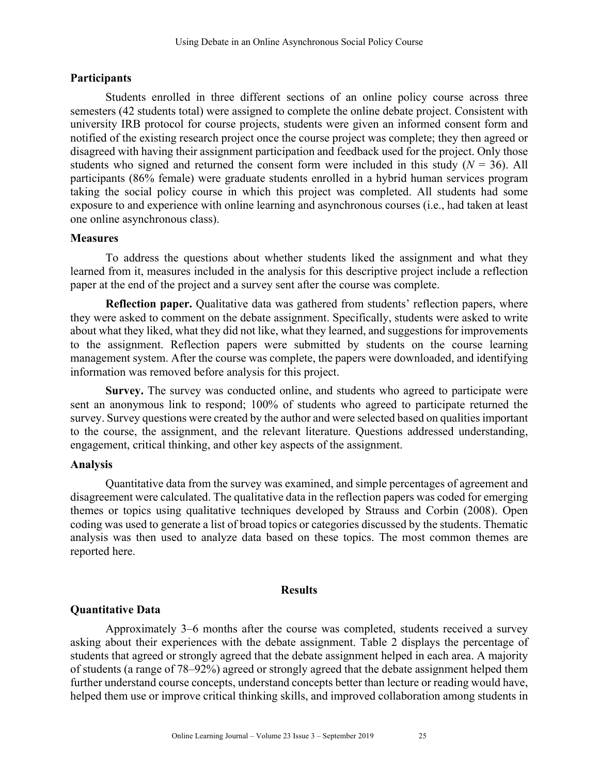# **Participants**

Students enrolled in three different sections of an online policy course across three semesters (42 students total) were assigned to complete the online debate project. Consistent with university IRB protocol for course projects, students were given an informed consent form and notified of the existing research project once the course project was complete; they then agreed or disagreed with having their assignment participation and feedback used for the project. Only those students who signed and returned the consent form were included in this study  $(N = 36)$ . All participants (86% female) were graduate students enrolled in a hybrid human services program taking the social policy course in which this project was completed. All students had some exposure to and experience with online learning and asynchronous courses (i.e., had taken at least one online asynchronous class).

## **Measures**

To address the questions about whether students liked the assignment and what they learned from it, measures included in the analysis for this descriptive project include a reflection paper at the end of the project and a survey sent after the course was complete.

**Reflection paper.** Qualitative data was gathered from students' reflection papers, where they were asked to comment on the debate assignment. Specifically, students were asked to write about what they liked, what they did not like, what they learned, and suggestions for improvements to the assignment. Reflection papers were submitted by students on the course learning management system. After the course was complete, the papers were downloaded, and identifying information was removed before analysis for this project.

**Survey.** The survey was conducted online, and students who agreed to participate were sent an anonymous link to respond; 100% of students who agreed to participate returned the survey. Survey questions were created by the author and were selected based on qualities important to the course, the assignment, and the relevant literature. Questions addressed understanding, engagement, critical thinking, and other key aspects of the assignment.

## **Analysis**

Quantitative data from the survey was examined, and simple percentages of agreement and disagreement were calculated. The qualitative data in the reflection papers was coded for emerging themes or topics using qualitative techniques developed by Strauss and Corbin (2008). Open coding was used to generate a list of broad topics or categories discussed by the students. Thematic analysis was then used to analyze data based on these topics. The most common themes are reported here.

#### **Results**

## **Quantitative Data**

Approximately 3–6 months after the course was completed, students received a survey asking about their experiences with the debate assignment. Table 2 displays the percentage of students that agreed or strongly agreed that the debate assignment helped in each area. A majority of students (a range of 78–92%) agreed or strongly agreed that the debate assignment helped them further understand course concepts, understand concepts better than lecture or reading would have, helped them use or improve critical thinking skills, and improved collaboration among students in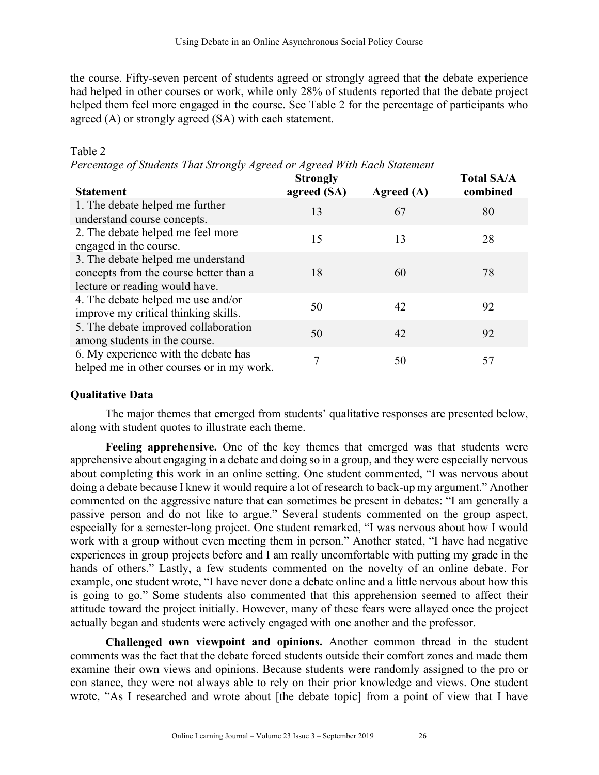the course. Fifty-seven percent of students agreed or strongly agreed that the debate experience had helped in other courses or work, while only 28% of students reported that the debate project helped them feel more engaged in the course. See Table 2 for the percentage of participants who agreed (A) or strongly agreed (SA) with each statement.

# Table 2

*Percentage of Students That Strongly Agreed or Agreed With Each Statement*

| <b>Statement</b>                                                                                               | <b>Strongly</b><br>agreed (SA) | Agreed (A) | <b>Total SA/A</b><br>combined |
|----------------------------------------------------------------------------------------------------------------|--------------------------------|------------|-------------------------------|
| 1. The debate helped me further<br>understand course concepts.                                                 | 13                             | 67         | 80                            |
| 2. The debate helped me feel more<br>engaged in the course.                                                    | 15                             | 13         | 28                            |
| 3. The debate helped me understand<br>concepts from the course better than a<br>lecture or reading would have. | 18                             | 60         | 78                            |
| 4. The debate helped me use and/or<br>improve my critical thinking skills.                                     | 50                             | 42         | 92                            |
| 5. The debate improved collaboration<br>among students in the course.                                          | 50                             | 42         | 92                            |
| 6. My experience with the debate has<br>helped me in other courses or in my work.                              | 7                              | 50         | 57                            |

## **Qualitative Data**

The major themes that emerged from students' qualitative responses are presented below, along with student quotes to illustrate each theme.

**Feeling apprehensive.** One of the key themes that emerged was that students were apprehensive about engaging in a debate and doing so in a group, and they were especially nervous about completing this work in an online setting. One student commented, "I was nervous about doing a debate because I knew it would require a lot of research to back-up my argument." Another commented on the aggressive nature that can sometimes be present in debates: "I am generally a passive person and do not like to argue." Several students commented on the group aspect, especially for a semester-long project. One student remarked, "I was nervous about how I would work with a group without even meeting them in person." Another stated, "I have had negative experiences in group projects before and I am really uncomfortable with putting my grade in the hands of others." Lastly, a few students commented on the novelty of an online debate. For example, one student wrote, "I have never done a debate online and a little nervous about how this is going to go." Some students also commented that this apprehension seemed to affect their attitude toward the project initially. However, many of these fears were allayed once the project actually began and students were actively engaged with one another and the professor.

**Challenged own viewpoint and opinions.** Another common thread in the student comments was the fact that the debate forced students outside their comfort zones and made them examine their own views and opinions. Because students were randomly assigned to the pro or con stance, they were not always able to rely on their prior knowledge and views. One student wrote, "As I researched and wrote about [the debate topic] from a point of view that I have

**Total SA/A**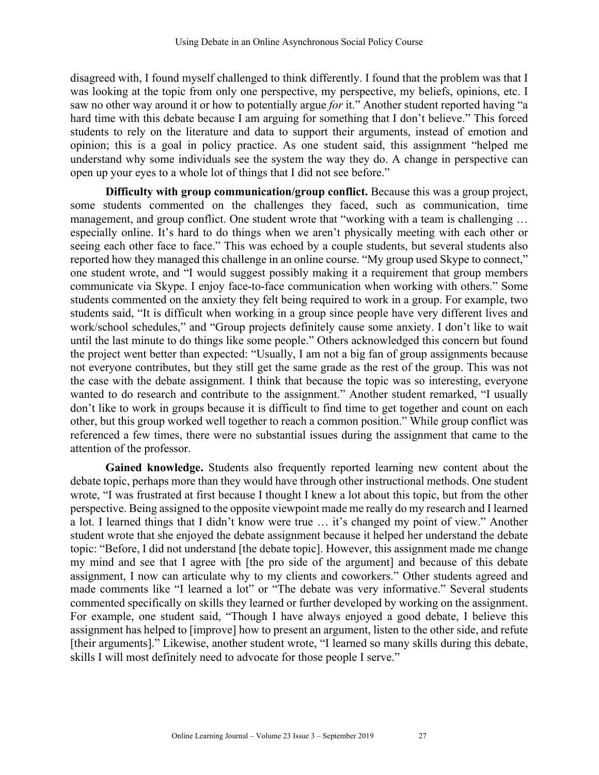disagreed with, I found myself challenged to think differently. I found that the problem was that I was looking at the topic from only one perspective, my perspective, my beliefs, opinions, etc. I saw no other way around it or how to potentially argue *for* it." Another student reported having "a hard time with this debate because I am arguing for something that I don't believe." This forced students to rely on the literature and data to support their arguments, instead of emotion and opinion; this is a goal in policy practice. As one student said, this assignment "helped me understand why some individuals see the system the way they do. A change in perspective can open up your eyes to a whole lot of things that I did not see before."

**Difficulty with group communication/group conflict.** Because this was a group project, some students commented on the challenges they faced, such as communication, time management, and group conflict. One student wrote that "working with a team is challenging … especially online. It's hard to do things when we aren't physically meeting with each other or seeing each other face to face." This was echoed by a couple students, but several students also reported how they managed this challenge in an online course. "My group used Skype to connect," one student wrote, and "I would suggest possibly making it a requirement that group members communicate via Skype. I enjoy face-to-face communication when working with others." Some students commented on the anxiety they felt being required to work in a group. For example, two students said, "It is difficult when working in a group since people have very different lives and work/school schedules," and "Group projects definitely cause some anxiety. I don't like to wait until the last minute to do things like some people." Others acknowledged this concern but found the project went better than expected: "Usually, I am not a big fan of group assignments because not everyone contributes, but they still get the same grade as the rest of the group. This was not the case with the debate assignment. I think that because the topic was so interesting, everyone wanted to do research and contribute to the assignment." Another student remarked, "I usually don't like to work in groups because it is difficult to find time to get together and count on each other, but this group worked well together to reach a common position." While group conflict was referenced a few times, there were no substantial issues during the assignment that came to the attention of the professor.

**Gained knowledge.** Students also frequently reported learning new content about the debate topic, perhaps more than they would have through other instructional methods. One student wrote, "I was frustrated at first because I thought I knew a lot about this topic, but from the other perspective. Being assigned to the opposite viewpoint made me really do my research and I learned a lot. I learned things that I didn't know were true … it's changed my point of view." Another student wrote that she enjoyed the debate assignment because it helped her understand the debate topic: "Before, I did not understand [the debate topic]. However, this assignment made me change my mind and see that I agree with [the pro side of the argument] and because of this debate assignment, I now can articulate why to my clients and coworkers." Other students agreed and made comments like "I learned a lot" or "The debate was very informative." Several students commented specifically on skills they learned or further developed by working on the assignment. For example, one student said, "Though I have always enjoyed a good debate, I believe this assignment has helped to [improve] how to present an argument, listen to the other side, and refute [their arguments]." Likewise, another student wrote, "I learned so many skills during this debate, skills I will most definitely need to advocate for those people I serve."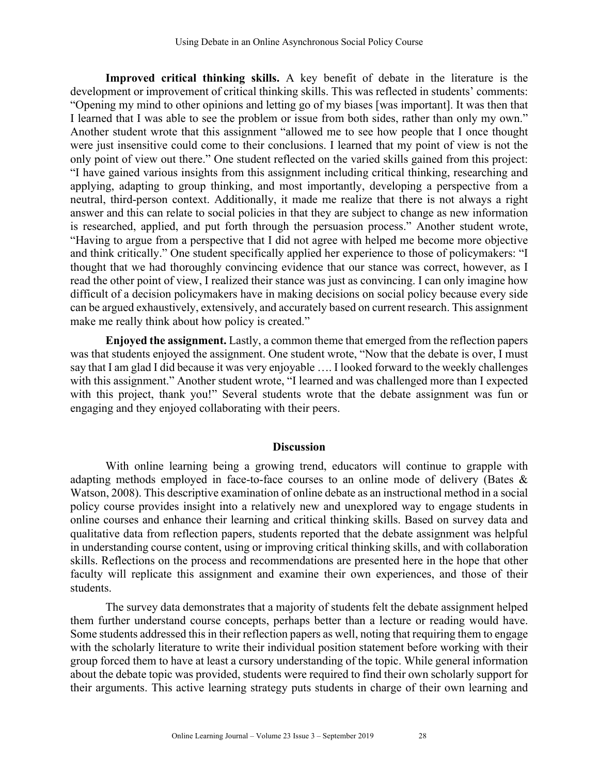**Improved critical thinking skills.** A key benefit of debate in the literature is the development or improvement of critical thinking skills. This was reflected in students' comments: "Opening my mind to other opinions and letting go of my biases [was important]. It was then that I learned that I was able to see the problem or issue from both sides, rather than only my own." Another student wrote that this assignment "allowed me to see how people that I once thought were just insensitive could come to their conclusions. I learned that my point of view is not the only point of view out there." One student reflected on the varied skills gained from this project: "I have gained various insights from this assignment including critical thinking, researching and applying, adapting to group thinking, and most importantly, developing a perspective from a neutral, third-person context. Additionally, it made me realize that there is not always a right answer and this can relate to social policies in that they are subject to change as new information is researched, applied, and put forth through the persuasion process." Another student wrote, "Having to argue from a perspective that I did not agree with helped me become more objective and think critically." One student specifically applied her experience to those of policymakers: "I thought that we had thoroughly convincing evidence that our stance was correct, however, as I read the other point of view, I realized their stance was just as convincing. I can only imagine how difficult of a decision policymakers have in making decisions on social policy because every side can be argued exhaustively, extensively, and accurately based on current research. This assignment make me really think about how policy is created."

**Enjoyed the assignment.** Lastly, a common theme that emerged from the reflection papers was that students enjoyed the assignment. One student wrote, "Now that the debate is over, I must say that I am glad I did because it was very enjoyable …. I looked forward to the weekly challenges with this assignment." Another student wrote, "I learned and was challenged more than I expected with this project, thank you!" Several students wrote that the debate assignment was fun or engaging and they enjoyed collaborating with their peers.

#### **Discussion**

With online learning being a growing trend, educators will continue to grapple with adapting methods employed in face-to-face courses to an online mode of delivery (Bates & Watson, 2008). This descriptive examination of online debate as an instructional method in a social policy course provides insight into a relatively new and unexplored way to engage students in online courses and enhance their learning and critical thinking skills. Based on survey data and qualitative data from reflection papers, students reported that the debate assignment was helpful in understanding course content, using or improving critical thinking skills, and with collaboration skills. Reflections on the process and recommendations are presented here in the hope that other faculty will replicate this assignment and examine their own experiences, and those of their students.

The survey data demonstrates that a majority of students felt the debate assignment helped them further understand course concepts, perhaps better than a lecture or reading would have. Some students addressed this in their reflection papers as well, noting that requiring them to engage with the scholarly literature to write their individual position statement before working with their group forced them to have at least a cursory understanding of the topic. While general information about the debate topic was provided, students were required to find their own scholarly support for their arguments. This active learning strategy puts students in charge of their own learning and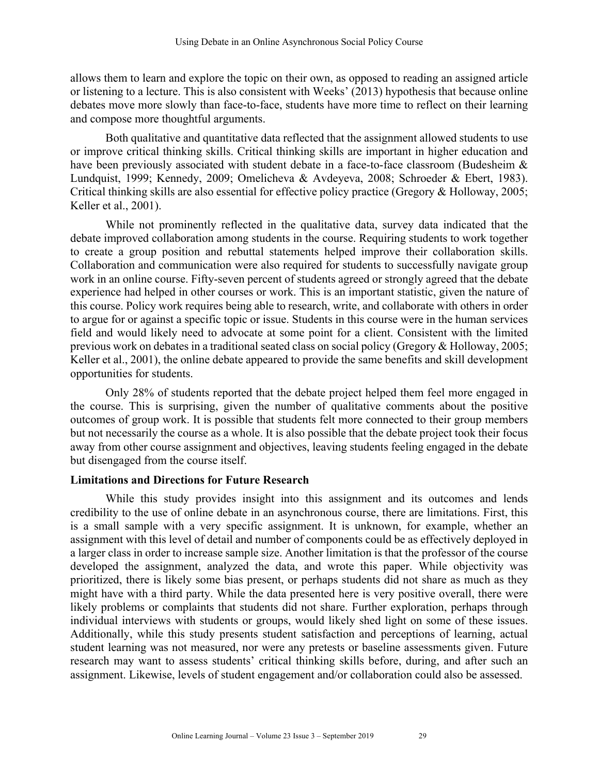allows them to learn and explore the topic on their own, as opposed to reading an assigned article or listening to a lecture. This is also consistent with Weeks' (2013) hypothesis that because online debates move more slowly than face-to-face, students have more time to reflect on their learning and compose more thoughtful arguments.

Both qualitative and quantitative data reflected that the assignment allowed students to use or improve critical thinking skills. Critical thinking skills are important in higher education and have been previously associated with student debate in a face-to-face classroom (Budesheim & Lundquist, 1999; Kennedy, 2009; Omelicheva & Avdeyeva, 2008; Schroeder & Ebert, 1983). Critical thinking skills are also essential for effective policy practice (Gregory & Holloway, 2005; Keller et al., 2001).

While not prominently reflected in the qualitative data, survey data indicated that the debate improved collaboration among students in the course. Requiring students to work together to create a group position and rebuttal statements helped improve their collaboration skills. Collaboration and communication were also required for students to successfully navigate group work in an online course. Fifty-seven percent of students agreed or strongly agreed that the debate experience had helped in other courses or work. This is an important statistic, given the nature of this course. Policy work requires being able to research, write, and collaborate with others in order to argue for or against a specific topic or issue. Students in this course were in the human services field and would likely need to advocate at some point for a client. Consistent with the limited previous work on debates in a traditional seated class on social policy (Gregory & Holloway, 2005; Keller et al., 2001), the online debate appeared to provide the same benefits and skill development opportunities for students.

Only 28% of students reported that the debate project helped them feel more engaged in the course. This is surprising, given the number of qualitative comments about the positive outcomes of group work. It is possible that students felt more connected to their group members but not necessarily the course as a whole. It is also possible that the debate project took their focus away from other course assignment and objectives, leaving students feeling engaged in the debate but disengaged from the course itself.

#### **Limitations and Directions for Future Research**

While this study provides insight into this assignment and its outcomes and lends credibility to the use of online debate in an asynchronous course, there are limitations. First, this is a small sample with a very specific assignment. It is unknown, for example, whether an assignment with this level of detail and number of components could be as effectively deployed in a larger class in order to increase sample size. Another limitation is that the professor of the course developed the assignment, analyzed the data, and wrote this paper. While objectivity was prioritized, there is likely some bias present, or perhaps students did not share as much as they might have with a third party. While the data presented here is very positive overall, there were likely problems or complaints that students did not share. Further exploration, perhaps through individual interviews with students or groups, would likely shed light on some of these issues. Additionally, while this study presents student satisfaction and perceptions of learning, actual student learning was not measured, nor were any pretests or baseline assessments given. Future research may want to assess students' critical thinking skills before, during, and after such an assignment. Likewise, levels of student engagement and/or collaboration could also be assessed.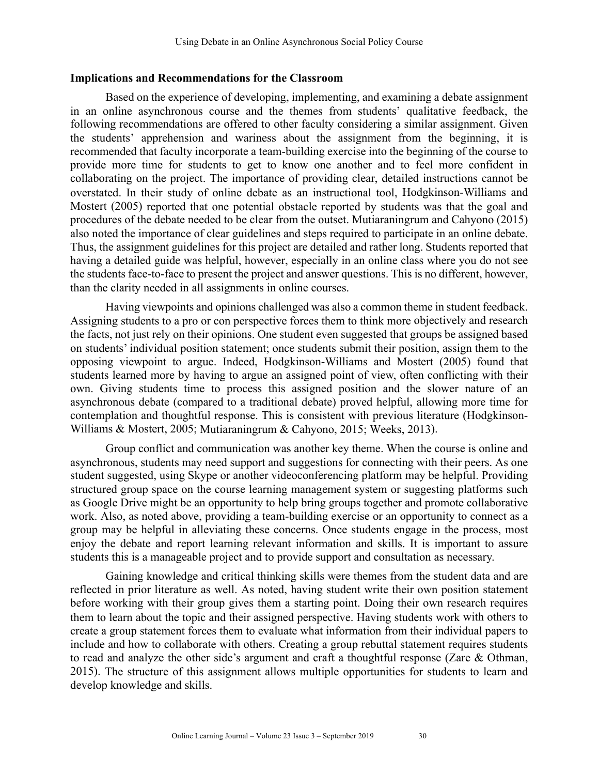#### **Implications and Recommendations for the Classroom**

Based on the experience of developing, implementing, and examining a debate assignment in an online asynchronous course and the themes from students' qualitative feedback, the following recommendations are offered to other faculty considering a similar assignment. Given the students' apprehension and wariness about the assignment from the beginning, it is recommended that faculty incorporate a team-building exercise into the beginning of the course to provide more time for students to get to know one another and to feel more confident in collaborating on the project. The importance of providing clear, detailed instructions cannot be overstated. In their study of online debate as an instructional tool, Hodgkinson-Williams and Mostert (2005) reported that one potential obstacle reported by students was that the goal and procedures of the debate needed to be clear from the outset. Mutiaraningrum and Cahyono (2015) also noted the importance of clear guidelines and steps required to participate in an online debate. Thus, the assignment guidelines for this project are detailed and rather long. Students reported that having a detailed guide was helpful, however, especially in an online class where you do not see the students face-to-face to present the project and answer questions. This is no different, however, than the clarity needed in all assignments in online courses.

Having viewpoints and opinions challenged was also a common theme in student feedback. Assigning students to a pro or con perspective forces them to think more objectively and research the facts, not just rely on their opinions. One student even suggested that groups be assigned based on students' individual position statement; once students submit their position, assign them to the opposing viewpoint to argue. Indeed, Hodgkinson-Williams and Mostert (2005) found that students learned more by having to argue an assigned point of view, often conflicting with their own. Giving students time to process this assigned position and the slower nature of an asynchronous debate (compared to a traditional debate) proved helpful, allowing more time for contemplation and thoughtful response. This is consistent with previous literature (Hodgkinson-Williams & Mostert, 2005; Mutiaraningrum & Cahyono, 2015; Weeks, 2013).

Group conflict and communication was another key theme. When the course is online and asynchronous, students may need support and suggestions for connecting with their peers. As one student suggested, using Skype or another videoconferencing platform may be helpful. Providing structured group space on the course learning management system or suggesting platforms such as Google Drive might be an opportunity to help bring groups together and promote collaborative work. Also, as noted above, providing a team-building exercise or an opportunity to connect as a group may be helpful in alleviating these concerns. Once students engage in the process, most enjoy the debate and report learning relevant information and skills. It is important to assure students this is a manageable project and to provide support and consultation as necessary.

Gaining knowledge and critical thinking skills were themes from the student data and are reflected in prior literature as well. As noted, having student write their own position statement before working with their group gives them a starting point. Doing their own research requires them to learn about the topic and their assigned perspective. Having students work with others to create a group statement forces them to evaluate what information from their individual papers to include and how to collaborate with others. Creating a group rebuttal statement requires students to read and analyze the other side's argument and craft a thoughtful response (Zare & Othman, 2015). The structure of this assignment allows multiple opportunities for students to learn and develop knowledge and skills.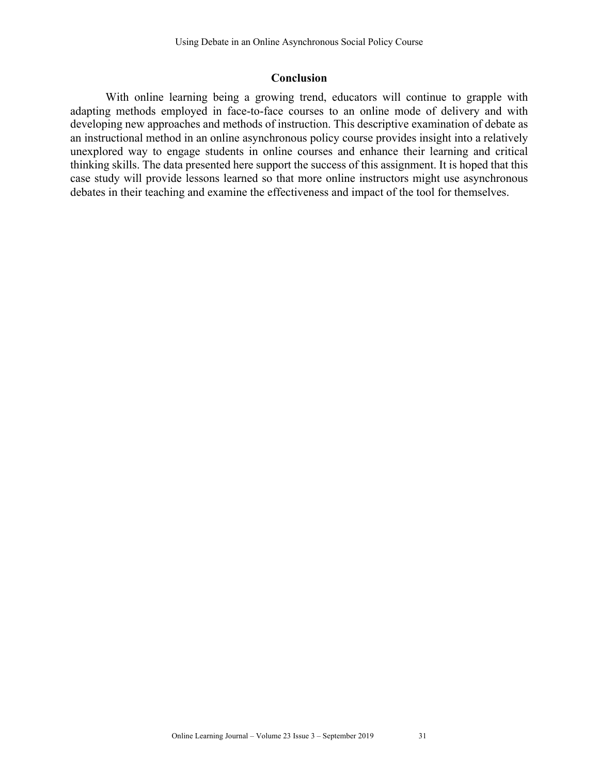#### **Conclusion**

With online learning being a growing trend, educators will continue to grapple with adapting methods employed in face-to-face courses to an online mode of delivery and with developing new approaches and methods of instruction. This descriptive examination of debate as an instructional method in an online asynchronous policy course provides insight into a relatively unexplored way to engage students in online courses and enhance their learning and critical thinking skills. The data presented here support the success of this assignment. It is hoped that this case study will provide lessons learned so that more online instructors might use asynchronous debates in their teaching and examine the effectiveness and impact of the tool for themselves.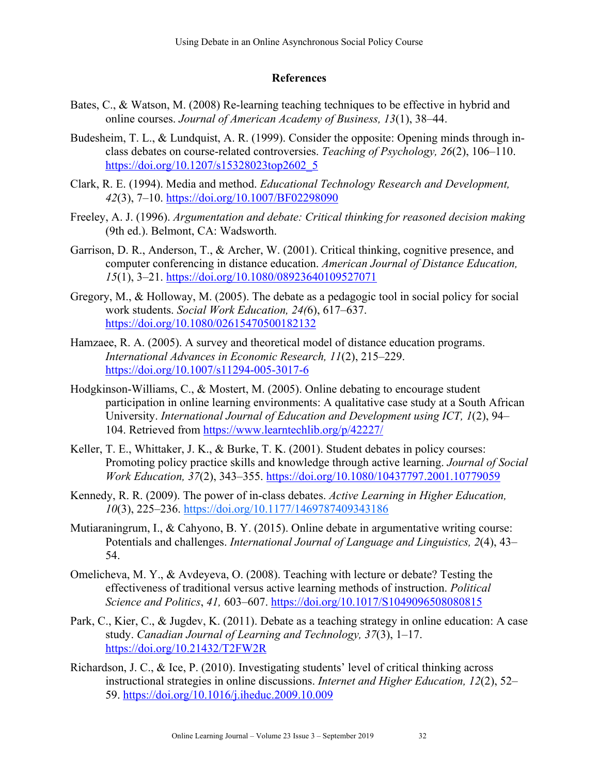## **References**

- Bates, C., & Watson, M. (2008) Re-learning teaching techniques to be effective in hybrid and online courses. *Journal of American Academy of Business, 13*(1), 38–44.
- Budesheim, T. L., & Lundquist, A. R. (1999). Consider the opposite: Opening minds through inclass debates on course-related controversies. *Teaching of Psychology, 26*(2), 106–110. https://doi.org/10.1207/s15328023top2602\_5
- Clark, R. E. (1994). Media and method. *Educational Technology Research and Development, 42*(3), 7–10. https://doi.org/10.1007/BF02298090
- Freeley, A. J. (1996). *Argumentation and debate: Critical thinking for reasoned decision making*  (9th ed.). Belmont, CA: Wadsworth.
- Garrison, D. R., Anderson, T., & Archer, W. (2001). Critical thinking, cognitive presence, and computer conferencing in distance education. *American Journal of Distance Education, 15*(1), 3–21. https://doi.org/10.1080/08923640109527071
- Gregory, M., & Holloway, M. (2005). The debate as a pedagogic tool in social policy for social work students. *Social Work Education, 24(*6), 617–637. https://doi.org/10.1080/02615470500182132
- Hamzaee, R. A. (2005). A survey and theoretical model of distance education programs. *International Advances in Economic Research, 11*(2), 215–229. https://doi.org/10.1007/s11294-005-3017-6
- Hodgkinson-Williams, C., & Mostert, M. (2005). Online debating to encourage student participation in online learning environments: A qualitative case study at a South African University. *International Journal of Education and Development using ICT, 1*(2), 94– 104. Retrieved from https://www.learntechlib.org/p/42227/
- Keller, T. E., Whittaker, J. K., & Burke, T. K. (2001). Student debates in policy courses: Promoting policy practice skills and knowledge through active learning. *Journal of Social Work Education, 37*(2), 343–355. https://doi.org/10.1080/10437797.2001.10779059
- Kennedy, R. R. (2009). The power of in-class debates. *Active Learning in Higher Education, 10*(3), 225–236. https://doi.org/10.1177/1469787409343186
- Mutiaraningrum, I., & Cahyono, B. Y. (2015). Online debate in argumentative writing course: Potentials and challenges. *International Journal of Language and Linguistics, 2*(4), 43– 54.
- Omelicheva, M. Y., & Avdeyeva, O. (2008). Teaching with lecture or debate? Testing the effectiveness of traditional versus active learning methods of instruction. *Political Science and Politics*, *41,* 603–607. https://doi.org/10.1017/S1049096508080815
- Park, C., Kier, C., & Jugdev, K. (2011). Debate as a teaching strategy in online education: A case study. *Canadian Journal of Learning and Technology, 37*(3), 1–17. https://doi.org/10.21432/T2FW2R
- Richardson, J. C., & Ice, P. (2010). Investigating students' level of critical thinking across instructional strategies in online discussions. *Internet and Higher Education, 12*(2), 52– 59. https://doi.org/10.1016/j.iheduc.2009.10.009